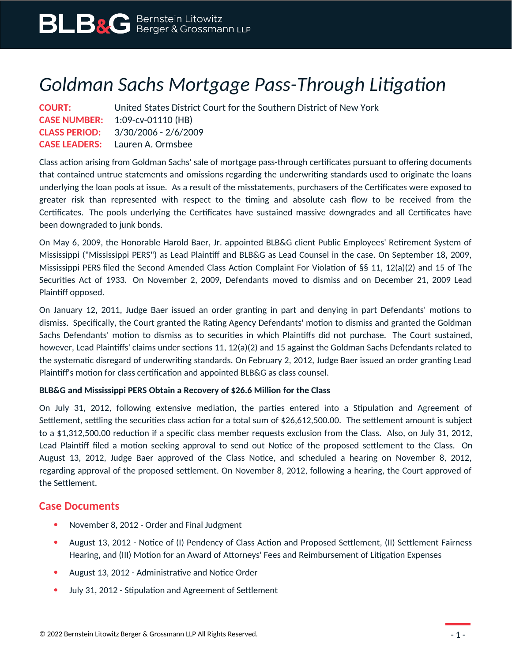## *Goldman Sachs Mortgage Pass-Through Litigation*

| <b>COURT:</b> | United States District Court for the Southern District of New York |
|---------------|--------------------------------------------------------------------|
|               | <b>CASE NUMBER:</b> 1:09-cv-01110 (HB)                             |
|               | <b>CLASS PERIOD:</b> $3/30/2006 - 2/6/2009$                        |
|               | <b>CASE LEADERS:</b> Lauren A. Ormsbee                             |

Class action arising from Goldman Sachs' sale of mortgage pass-through certificates pursuant to offering documents that contained untrue statements and omissions regarding the underwriting standards used to originate the loans underlying the loan pools at issue. As a result of the misstatements, purchasers of the Certificates were exposed to greater risk than represented with respect to the timing and absolute cash flow to be received from the Certificates. The pools underlying the Certificates have sustained massive downgrades and all Certificates have been downgraded to junk bonds.

On May 6, 2009, the Honorable Harold Baer, Jr. appointed BLB&G client Public Employees' Retirement System of Mississippi ("Mississippi PERS") as Lead Plaintiff and BLB&G as Lead Counsel in the case. On September 18, 2009, Mississippi PERS filed the Second Amended Class Action Complaint For Violation of §§ 11, 12(a)(2) and 15 of The Securities Act of 1933. On November 2, 2009, Defendants moved to dismiss and on December 21, 2009 Lead Plaintiff opposed.

On January 12, 2011, Judge Baer issued an order granting in part and denying in part Defendants' motions to dismiss. Specifically, the Court granted the Rating Agency Defendants' motion to dismiss and granted the Goldman Sachs Defendants' motion to dismiss as to securities in which Plaintiffs did not purchase. The Court sustained, however, Lead Plaintiffs' claims under sections 11, 12(a)(2) and 15 against the Goldman Sachs Defendants related to the systematic disregard of underwriting standards. On February 2, 2012, Judge Baer issued an order granting Lead Plaintiff's motion for class certification and appointed BLB&G as class counsel.

## **BLB&G and Mississippi PERS Obtain a Recovery of \$26.6 Million for the Class**

On July 31, 2012, following extensive mediation, the parties entered into a Stipulation and Agreement of Settlement, settling the securities class action for a total sum of \$26,612,500.00. The settlement amount is subject to a \$1,312,500.00 reduction if a specific class member requests exclusion from the Class. Also, on July 31, 2012, Lead Plaintiff filed a motion seeking approval to send out Notice of the proposed settlement to the Class. On August 13, 2012, Judge Baer approved of the Class Notice, and scheduled a hearing on November 8, 2012, regarding approval of the proposed settlement. On November 8, 2012, following a hearing, the Court approved of the Settlement.

## **Case Documents**

- November 8, 2012 Order and Final Judgment
- August 13, 2012 Notice of (I) Pendency of Class Action and Proposed Settlement, (II) Settlement Fairness Hearing, and (III) Motion for an Award of Attorneys' Fees and Reimbursement of Litigation Expenses
- August 13, 2012 Administrative and Notice Order
- July 31, 2012 Stipulation and Agreement of Settlement